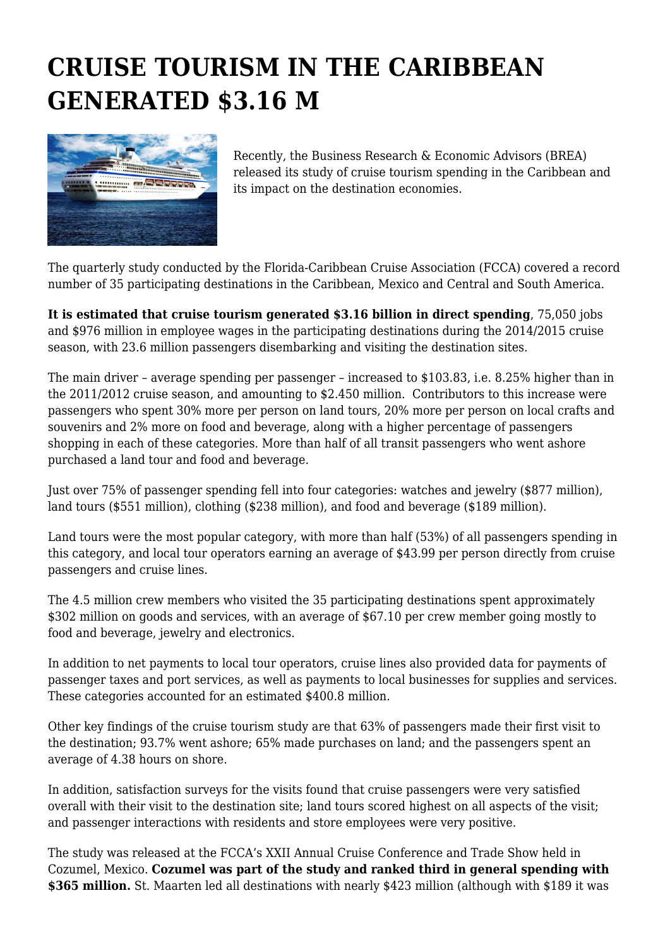## **CRUISE TOURISM IN THE CARIBBEAN GENERATED \$3.16 M**



Recently, the Business Research & Economic Advisors (BREA) released its study of cruise tourism spending in the Caribbean and its impact on the destination economies.

The quarterly study conducted by the Florida-Caribbean Cruise Association (FCCA) covered a record number of 35 participating destinations in the Caribbean, Mexico and Central and South America.

**It is estimated that cruise tourism generated \$3.16 billion in direct spending**, 75,050 jobs and \$976 million in employee wages in the participating destinations during the 2014/2015 cruise season, with 23.6 million passengers disembarking and visiting the destination sites.

The main driver – average spending per passenger – increased to \$103.83, i.e. 8.25% higher than in the 2011/2012 cruise season, and amounting to \$2.450 million. Contributors to this increase were passengers who spent 30% more per person on land tours, 20% more per person on local crafts and souvenirs and 2% more on food and beverage, along with a higher percentage of passengers shopping in each of these categories. More than half of all transit passengers who went ashore purchased a land tour and food and beverage.

Just over 75% of passenger spending fell into four categories: watches and jewelry (\$877 million), land tours (\$551 million), clothing (\$238 million), and food and beverage (\$189 million).

Land tours were the most popular category, with more than half (53%) of all passengers spending in this category, and local tour operators earning an average of \$43.99 per person directly from cruise passengers and cruise lines.

The 4.5 million crew members who visited the 35 participating destinations spent approximately \$302 million on goods and services, with an average of \$67.10 per crew member going mostly to food and beverage, jewelry and electronics.

In addition to net payments to local tour operators, cruise lines also provided data for payments of passenger taxes and port services, as well as payments to local businesses for supplies and services. These categories accounted for an estimated \$400.8 million.

Other key findings of the cruise tourism study are that 63% of passengers made their first visit to the destination; 93.7% went ashore; 65% made purchases on land; and the passengers spent an average of 4.38 hours on shore.

In addition, satisfaction surveys for the visits found that cruise passengers were very satisfied overall with their visit to the destination site; land tours scored highest on all aspects of the visit; and passenger interactions with residents and store employees were very positive.

The study was released at the FCCA's XXII Annual Cruise Conference and Trade Show held in Cozumel, Mexico. **Cozumel was part of the study and ranked third in general spending with \$365 million.** St. Maarten led all destinations with nearly \$423 million (although with \$189 it was